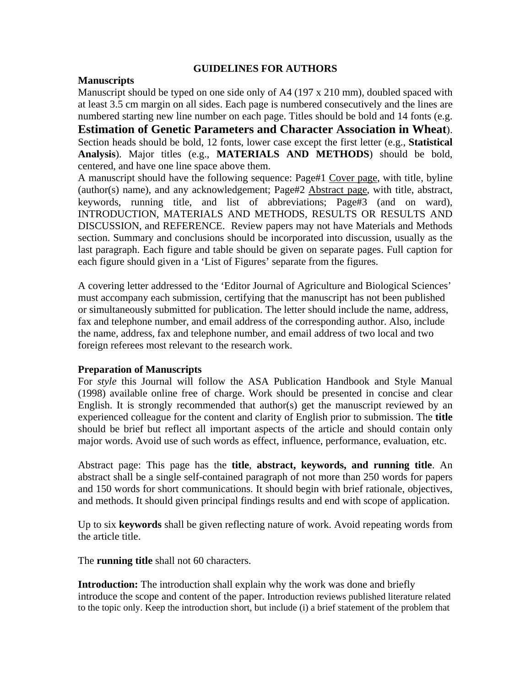## **GUIDELINES FOR AUTHORS**

## **Manuscripts**

Manuscript should be typed on one side only of A4 (197 x 210 mm), doubled spaced with at least 3.5 cm margin on all sides. Each page is numbered consecutively and the lines are numbered starting new line number on each page. Titles should be bold and 14 fonts (e.g. **Estimation of Genetic Parameters and Character Association in Wheat**). Section heads should be bold, 12 fonts, lower case except the first letter (e.g., **Statistical Analysis**). Major titles (e.g., **MATERIALS AND METHODS**) should be bold, centered, and have one line space above them.

A manuscript should have the following sequence: Page#1 Cover page, with title, byline (author(s) name), and any acknowledgement; Page#2 Abstract page, with title, abstract, keywords, running title, and list of abbreviations; Page#3 (and on ward), INTRODUCTION, MATERIALS AND METHODS, RESULTS OR RESULTS AND DISCUSSION, and REFERENCE. Review papers may not have Materials and Methods section. Summary and conclusions should be incorporated into discussion, usually as the last paragraph. Each figure and table should be given on separate pages. Full caption for each figure should given in a 'List of Figures' separate from the figures.

A covering letter addressed to the 'Editor Journal of Agriculture and Biological Sciences' must accompany each submission, certifying that the manuscript has not been published or simultaneously submitted for publication. The letter should include the name, address, fax and telephone number, and email address of the corresponding author. Also, include the name, address, fax and telephone number, and email address of two local and two foreign referees most relevant to the research work.

## **Preparation of Manuscripts**

For *style* this Journal will follow the ASA Publication Handbook and Style Manual (1998) available online free of charge. Work should be presented in concise and clear English. It is strongly recommended that author(s) get the manuscript reviewed by an experienced colleague for the content and clarity of English prior to submission. The **title** should be brief but reflect all important aspects of the article and should contain only major words. Avoid use of such words as effect, influence, performance, evaluation, etc.

Abstract page: This page has the **title**, **abstract, keywords, and running title**. An abstract shall be a single self-contained paragraph of not more than 250 words for papers and 150 words for short communications. It should begin with brief rationale, objectives, and methods. It should given principal findings results and end with scope of application.

Up to six **keywords** shall be given reflecting nature of work. Avoid repeating words from the article title.

The **running title** shall not 60 characters.

**Introduction:** The introduction shall explain why the work was done and briefly introduce the scope and content of the paper. Introduction reviews published literature related to the topic only. Keep the introduction short, but include (i) a brief statement of the problem that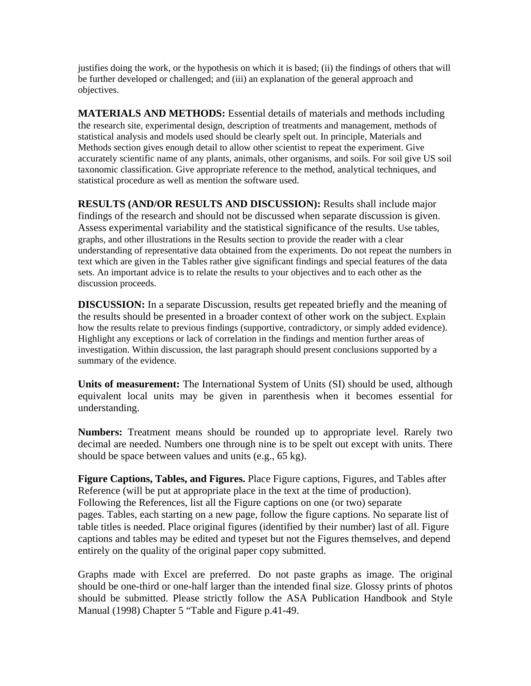justifies doing the work, or the hypothesis on which it is based; (ii) the findings of others that will be further developed or challenged; and (iii) an explanation of the general approach and objectives.

**MATERIALS AND METHODS:** Essential details of materials and methods including the research site, experimental design, description of treatments and management, methods of statistical analysis and models used should be clearly spelt out. In principle, Materials and Methods section gives enough detail to allow other scientist to repeat the experiment. Give accurately scientific name of any plants, animals, other organisms, and soils. For soil give US soil taxonomic classification. Give appropriate reference to the method, analytical techniques, and statistical procedure as well as mention the software used.

**RESULTS (AND/OR RESULTS AND DISCUSSION):** Results shall include major findings of the research and should not be discussed when separate discussion is given. Assess experimental variability and the statistical significance of the results. Use tables, graphs, and other illustrations in the Results section to provide the reader with a clear understanding of representative data obtained from the experiments. Do not repeat the numbers in text which are given in the Tables rather give significant findings and special features of the data sets. An important advice is to relate the results to your objectives and to each other as the discussion proceeds.

**DISCUSSION:** In a separate Discussion, results get repeated briefly and the meaning of the results should be presented in a broader context of other work on the subject. Explain how the results relate to previous findings (supportive, contradictory, or simply added evidence). Highlight any exceptions or lack of correlation in the findings and mention further areas of investigation. Within discussion, the last paragraph should present conclusions supported by a summary of the evidence.

**Units of measurement:** The International System of Units (SI) should be used, although equivalent local units may be given in parenthesis when it becomes essential for understanding.

**Numbers:** Treatment means should be rounded up to appropriate level. Rarely two decimal are needed. Numbers one through nine is to be spelt out except with units. There should be space between values and units (e.g., 65 kg).

**Figure Captions, Tables, and Figures.** Place Figure captions, Figures, and Tables after Reference (will be put at appropriate place in the text at the time of production). Following the References, list all the Figure captions on one (or two) separate pages. Tables, each starting on a new page, follow the figure captions. No separate list of table titles is needed. Place original figures (identified by their number) last of all. Figure captions and tables may be edited and typeset but not the Figures themselves, and depend entirely on the quality of the original paper copy submitted.

Graphs made with Excel are preferred. Do not paste graphs as image. The original should be one-third or one-half larger than the intended final size. Glossy prints of photos should be submitted. Please strictly follow the ASA Publication Handbook and Style Manual (1998) Chapter 5 "Table and Figure p.41-49.